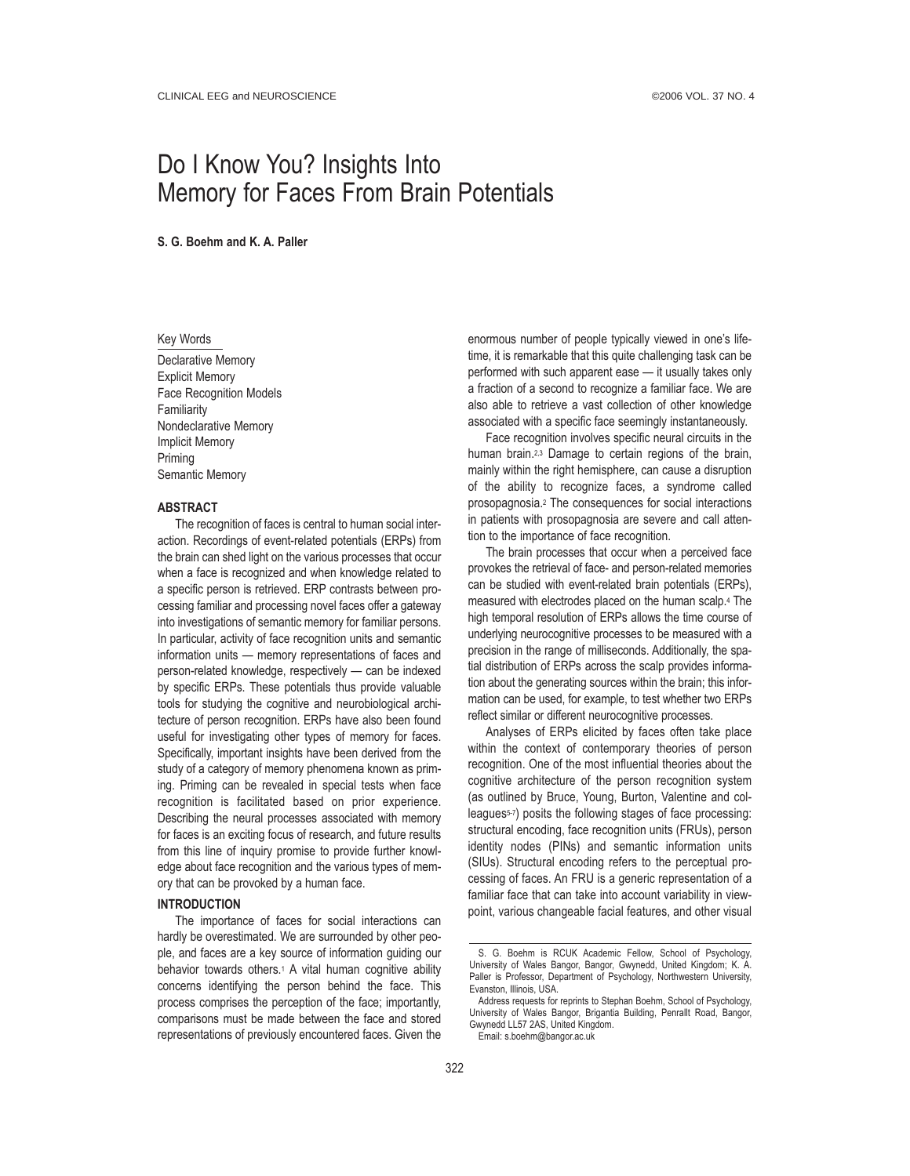# Do I Know You? Insights Into Memory for Faces From Brain Potentials

## **S. G. Boehm and K. A. Paller**

## Key Words

Declarative Memory Explicit Memory Face Recognition Models Familiarity Nondeclarative Memory Implicit Memory Priming Semantic Memory

## **ABSTRACT**

The recognition of faces is central to human social interaction. Recordings of event-related potentials (ERPs) from the brain can shed light on the various processes that occur when a face is recognized and when knowledge related to a specific person is retrieved. ERP contrasts between processing familiar and processing novel faces offer a gateway into investigations of semantic memory for familiar persons. In particular, activity of face recognition units and semantic information units — memory representations of faces and person-related knowledge, respectively — can be indexed by specific ERPs. These potentials thus provide valuable tools for studying the cognitive and neurobiological architecture of person recognition. ERPs have also been found useful for investigating other types of memory for faces. Specifically, important insights have been derived from the study of a category of memory phenomena known as priming. Priming can be revealed in special tests when face recognition is facilitated based on prior experience. Describing the neural processes associated with memory for faces is an exciting focus of research, and future results from this line of inquiry promise to provide further knowledge about face recognition and the various types of memory that can be provoked by a human face.

### **INTRODUCTION**

The importance of faces for social interactions can hardly be overestimated. We are surrounded by other people, and faces are a key source of information guiding our behavior towards others.<sup>1</sup> A vital human cognitive ability concerns identifying the person behind the face. This process comprises the perception of the face; importantly, comparisons must be made between the face and stored representations of previously encountered faces. Given the

enormous number of people typically viewed in one's lifetime, it is remarkable that this quite challenging task can be performed with such apparent ease — it usually takes only a fraction of a second to recognize a familiar face. We are also able to retrieve a vast collection of other knowledge associated with a specific face seemingly instantaneously.

Face recognition involves specific neural circuits in the human brain.2,3 Damage to certain regions of the brain, mainly within the right hemisphere, can cause a disruption of the ability to recognize faces, a syndrome called prosopagnosia.2 The consequences for social interactions in patients with prosopagnosia are severe and call attention to the importance of face recognition.

The brain processes that occur when a perceived face provokes the retrieval of face- and person-related memories can be studied with event-related brain potentials (ERPs), measured with electrodes placed on the human scalp.4 The high temporal resolution of ERPs allows the time course of underlying neurocognitive processes to be measured with a precision in the range of milliseconds. Additionally, the spatial distribution of ERPs across the scalp provides information about the generating sources within the brain; this information can be used, for example, to test whether two ERPs reflect similar or different neurocognitive processes.

Analyses of ERPs elicited by faces often take place within the context of contemporary theories of person recognition. One of the most influential theories about the cognitive architecture of the person recognition system (as outlined by Bruce, Young, Burton, Valentine and colleagues<sup>57</sup>) posits the following stages of face processing: structural encoding, face recognition units (FRUs), person identity nodes (PINs) and semantic information units (SIUs). Structural encoding refers to the perceptual processing of faces. An FRU is a generic representation of a familiar face that can take into account variability in viewpoint, various changeable facial features, and other visual

S. G. Boehm is RCUK Academic Fellow, School of Psychology, University of Wales Bangor, Bangor, Gwynedd, United Kingdom; K. A. Paller is Professor, Department of Psychology, Northwestern University, Evanston, Illinois, USA.

Address requests for reprints to Stephan Boehm, School of Psychology, University of Wales Bangor, Brigantia Building, Penrallt Road, Bangor, Gwynedd LL57 2AS, United Kingdom. Email: s.boehm@bangor.ac.uk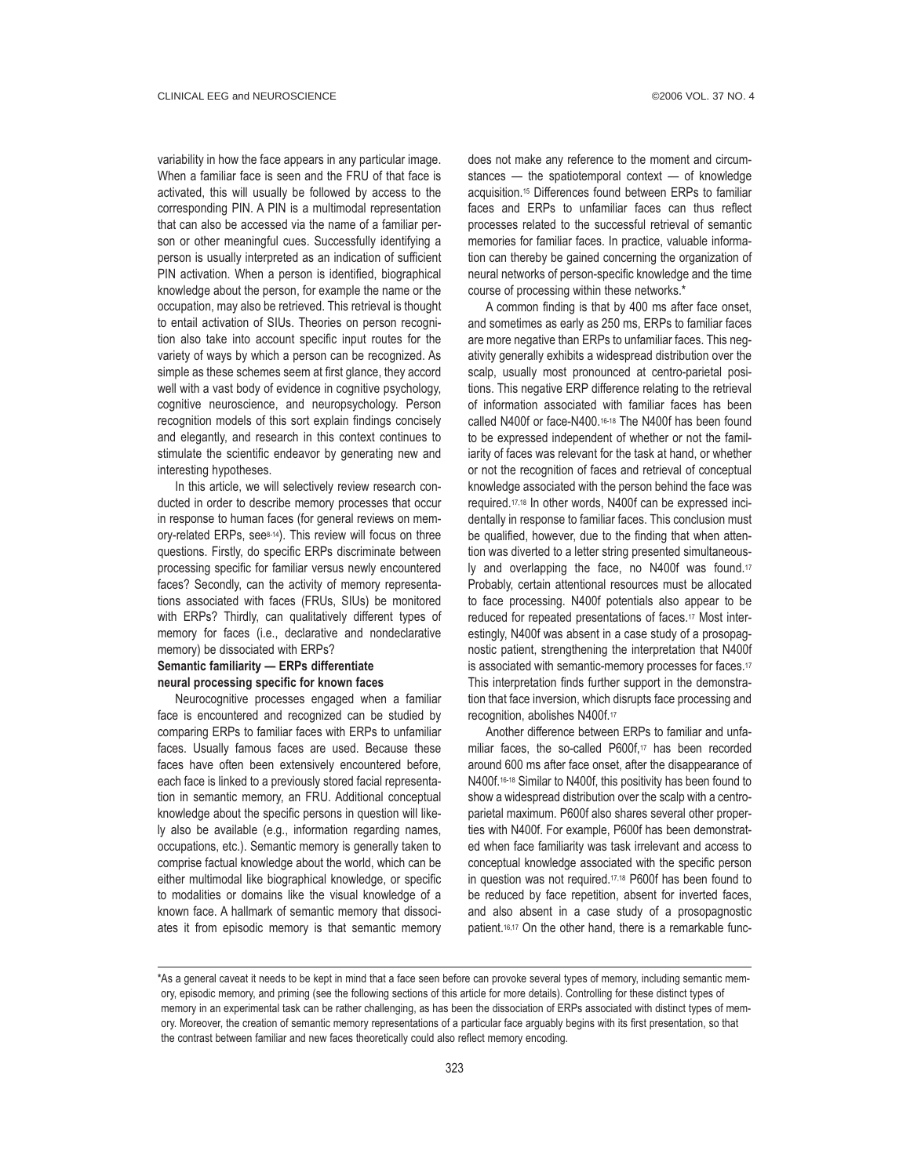variability in how the face appears in any particular image. When a familiar face is seen and the FRU of that face is activated, this will usually be followed by access to the corresponding PIN. A PIN is a multimodal representation that can also be accessed via the name of a familiar person or other meaningful cues. Successfully identifying a person is usually interpreted as an indication of sufficient PIN activation. When a person is identified, biographical knowledge about the person, for example the name or the occupation, may also be retrieved. This retrieval is thought to entail activation of SIUs. Theories on person recognition also take into account specific input routes for the variety of ways by which a person can be recognized. As simple as these schemes seem at first glance, they accord well with a vast body of evidence in cognitive psychology, cognitive neuroscience, and neuropsychology. Person recognition models of this sort explain findings concisely and elegantly, and research in this context continues to stimulate the scientific endeavor by generating new and interesting hypotheses.

In this article, we will selectively review research conducted in order to describe memory processes that occur in response to human faces (for general reviews on memory-related ERPs, see<sup>8-14</sup>). This review will focus on three questions. Firstly, do specific ERPs discriminate between processing specific for familiar versus newly encountered faces? Secondly, can the activity of memory representations associated with faces (FRUs, SIUs) be monitored with ERPs? Thirdly, can qualitatively different types of memory for faces (i.e., declarative and nondeclarative memory) be dissociated with ERPs?

# **Semantic familiarity — ERPs differentiate neural processing specific for known faces**

Neurocognitive processes engaged when a familiar face is encountered and recognized can be studied by comparing ERPs to familiar faces with ERPs to unfamiliar faces. Usually famous faces are used. Because these faces have often been extensively encountered before, each face is linked to a previously stored facial representation in semantic memory, an FRU. Additional conceptual knowledge about the specific persons in question will likely also be available (e.g., information regarding names, occupations, etc.). Semantic memory is generally taken to comprise factual knowledge about the world, which can be either multimodal like biographical knowledge, or specific to modalities or domains like the visual knowledge of a known face. A hallmark of semantic memory that dissociates it from episodic memory is that semantic memory does not make any reference to the moment and circumstances — the spatiotemporal context — of knowledge acquisition.15 Differences found between ERPs to familiar faces and ERPs to unfamiliar faces can thus reflect processes related to the successful retrieval of semantic memories for familiar faces. In practice, valuable information can thereby be gained concerning the organization of neural networks of person-specific knowledge and the time course of processing within these networks.\*

A common finding is that by 400 ms after face onset, and sometimes as early as 250 ms, ERPs to familiar faces are more negative than ERPs to unfamiliar faces. This negativity generally exhibits a widespread distribution over the scalp, usually most pronounced at centro-parietal positions. This negative ERP difference relating to the retrieval of information associated with familiar faces has been called N400f or face-N400.16-18 The N400f has been found to be expressed independent of whether or not the familiarity of faces was relevant for the task at hand, or whether or not the recognition of faces and retrieval of conceptual knowledge associated with the person behind the face was required.17,18 In other words, N400f can be expressed incidentally in response to familiar faces. This conclusion must be qualified, however, due to the finding that when attention was diverted to a letter string presented simultaneously and overlapping the face, no N400f was found.17 Probably, certain attentional resources must be allocated to face processing. N400f potentials also appear to be reduced for repeated presentations of faces.17 Most interestingly, N400f was absent in a case study of a prosopagnostic patient, strengthening the interpretation that N400f is associated with semantic-memory processes for faces.17 This interpretation finds further support in the demonstration that face inversion, which disrupts face processing and recognition, abolishes N400f.17

Another difference between ERPs to familiar and unfamiliar faces, the so-called P600f.<sup>17</sup> has been recorded around 600 ms after face onset, after the disappearance of N400f.16-18 Similar to N400f, this positivity has been found to show a widespread distribution over the scalp with a centroparietal maximum. P600f also shares several other properties with N400f. For example, P600f has been demonstrated when face familiarity was task irrelevant and access to conceptual knowledge associated with the specific person in question was not required.17,18 P600f has been found to be reduced by face repetition, absent for inverted faces, and also absent in a case study of a prosopagnostic patient.16,17 On the other hand, there is a remarkable func-

<sup>\*</sup>As a general caveat it needs to be kept in mind that a face seen before can provoke several types of memory, including semantic memory, episodic memory, and priming (see the following sections of this article for more details). Controlling for these distinct types of memory in an experimental task can be rather challenging, as has been the dissociation of ERPs associated with distinct types of memory. Moreover, the creation of semantic memory representations of a particular face arguably begins with its first presentation, so that the contrast between familiar and new faces theoretically could also reflect memory encoding.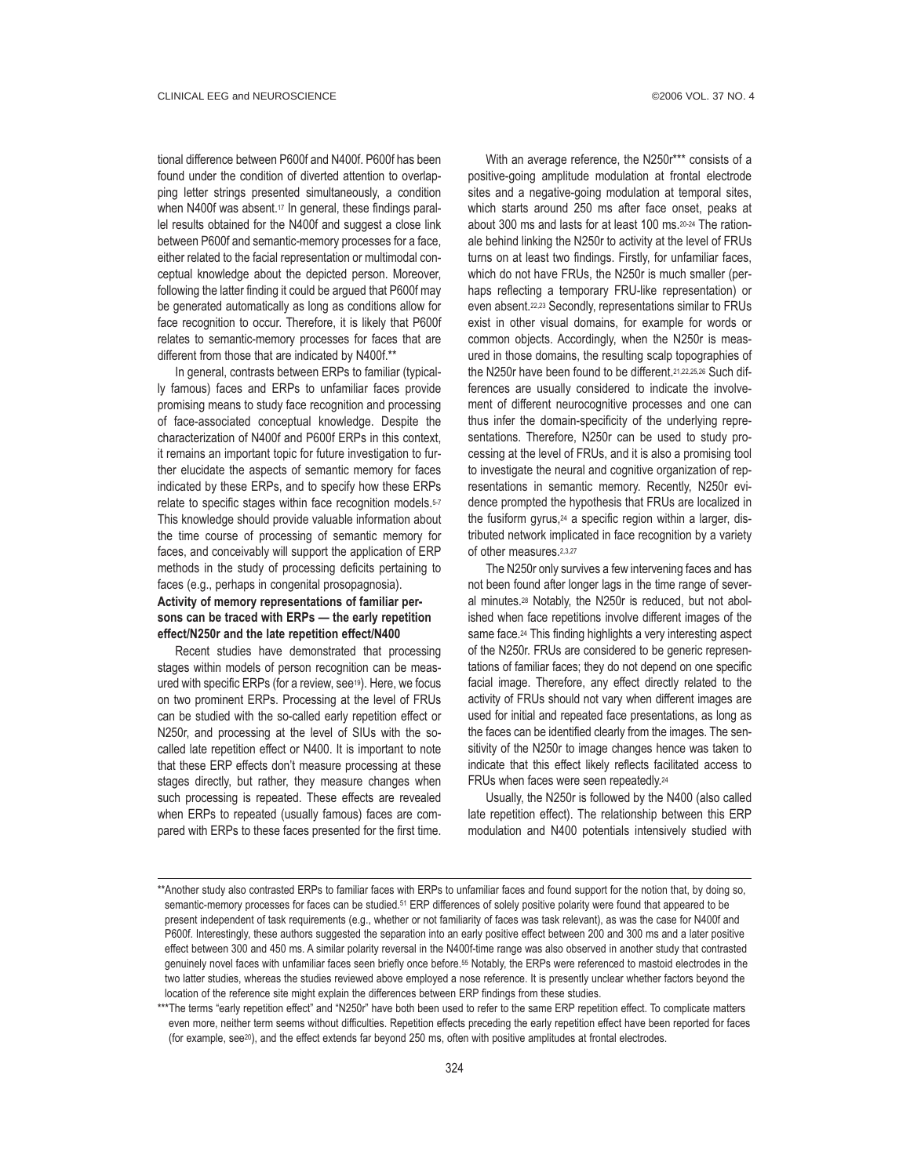tional difference between P600f and N400f. P600f has been found under the condition of diverted attention to overlapping letter strings presented simultaneously, a condition when N400f was absent.<sup>17</sup> In general, these findings parallel results obtained for the N400f and suggest a close link between P600f and semantic-memory processes for a face, either related to the facial representation or multimodal conceptual knowledge about the depicted person. Moreover, following the latter finding it could be argued that P600f may be generated automatically as long as conditions allow for face recognition to occur. Therefore, it is likely that P600f relates to semantic-memory processes for faces that are different from those that are indicated by N400f.\*\*

In general, contrasts between ERPs to familiar (typically famous) faces and ERPs to unfamiliar faces provide promising means to study face recognition and processing of face-associated conceptual knowledge. Despite the characterization of N400f and P600f ERPs in this context, it remains an important topic for future investigation to further elucidate the aspects of semantic memory for faces indicated by these ERPs, and to specify how these ERPs relate to specific stages within face recognition models.5-7 This knowledge should provide valuable information about the time course of processing of semantic memory for faces, and conceivably will support the application of ERP methods in the study of processing deficits pertaining to faces (e.g., perhaps in congenital prosopagnosia). **Activity of memory representations of familiar persons can be traced with ERPs — the early repetition effect/N250r and the late repetition effect/N400**

Recent studies have demonstrated that processing stages within models of person recognition can be measured with specific ERPs (for a review, see<sup>19</sup>). Here, we focus on two prominent ERPs. Processing at the level of FRUs can be studied with the so-called early repetition effect or N250r, and processing at the level of SIUs with the socalled late repetition effect or N400. It is important to note that these ERP effects don't measure processing at these stages directly, but rather, they measure changes when such processing is repeated. These effects are revealed when ERPs to repeated (usually famous) faces are compared with ERPs to these faces presented for the first time.

With an average reference, the N250r\*\*\* consists of a positive-going amplitude modulation at frontal electrode sites and a negative-going modulation at temporal sites, which starts around 250 ms after face onset, peaks at about 300 ms and lasts for at least 100 ms.20-24 The rationale behind linking the N250r to activity at the level of FRUs turns on at least two findings. Firstly, for unfamiliar faces, which do not have FRUs, the N250r is much smaller (perhaps reflecting a temporary FRU-like representation) or even absent.22,23 Secondly, representations similar to FRUs exist in other visual domains, for example for words or common objects. Accordingly, when the N250r is measured in those domains, the resulting scalp topographies of the N250r have been found to be different.21,22,25,26 Such differences are usually considered to indicate the involvement of different neurocognitive processes and one can thus infer the domain-specificity of the underlying representations. Therefore, N250r can be used to study processing at the level of FRUs, and it is also a promising tool to investigate the neural and cognitive organization of representations in semantic memory. Recently, N250r evidence prompted the hypothesis that FRUs are localized in the fusiform gyrus,<sup>24</sup> a specific region within a larger, distributed network implicated in face recognition by a variety of other measures.2,3,27

The N250r only survives a few intervening faces and has not been found after longer lags in the time range of several minutes.28 Notably, the N250r is reduced, but not abolished when face repetitions involve different images of the same face.<sup>24</sup> This finding highlights a very interesting aspect of the N250r. FRUs are considered to be generic representations of familiar faces; they do not depend on one specific facial image. Therefore, any effect directly related to the activity of FRUs should not vary when different images are used for initial and repeated face presentations, as long as the faces can be identified clearly from the images. The sensitivity of the N250r to image changes hence was taken to indicate that this effect likely reflects facilitated access to FRUs when faces were seen repeatedly.24

Usually, the N250r is followed by the N400 (also called late repetition effect). The relationship between this ERP modulation and N400 potentials intensively studied with

<sup>\*\*</sup>Another study also contrasted ERPs to familiar faces with ERPs to unfamiliar faces and found support for the notion that, by doing so, semantic-memory processes for faces can be studied.51 ERP differences of solely positive polarity were found that appeared to be present independent of task requirements (e.g., whether or not familiarity of faces was task relevant), as was the case for N400f and P600f. Interestingly, these authors suggested the separation into an early positive effect between 200 and 300 ms and a later positive effect between 300 and 450 ms. A similar polarity reversal in the N400f-time range was also observed in another study that contrasted genuinely novel faces with unfamiliar faces seen briefly once before.55 Notably, the ERPs were referenced to mastoid electrodes in the two latter studies, whereas the studies reviewed above employed a nose reference. It is presently unclear whether factors beyond the location of the reference site might explain the differences between ERP findings from these studies.

<sup>\*\*\*</sup>The terms "early repetition effect" and "N250r" have both been used to refer to the same ERP repetition effect. To complicate matters even more, neither term seems without difficulties. Repetition effects preceding the early repetition effect have been reported for faces (for example, see20), and the effect extends far beyond 250 ms, often with positive amplitudes at frontal electrodes.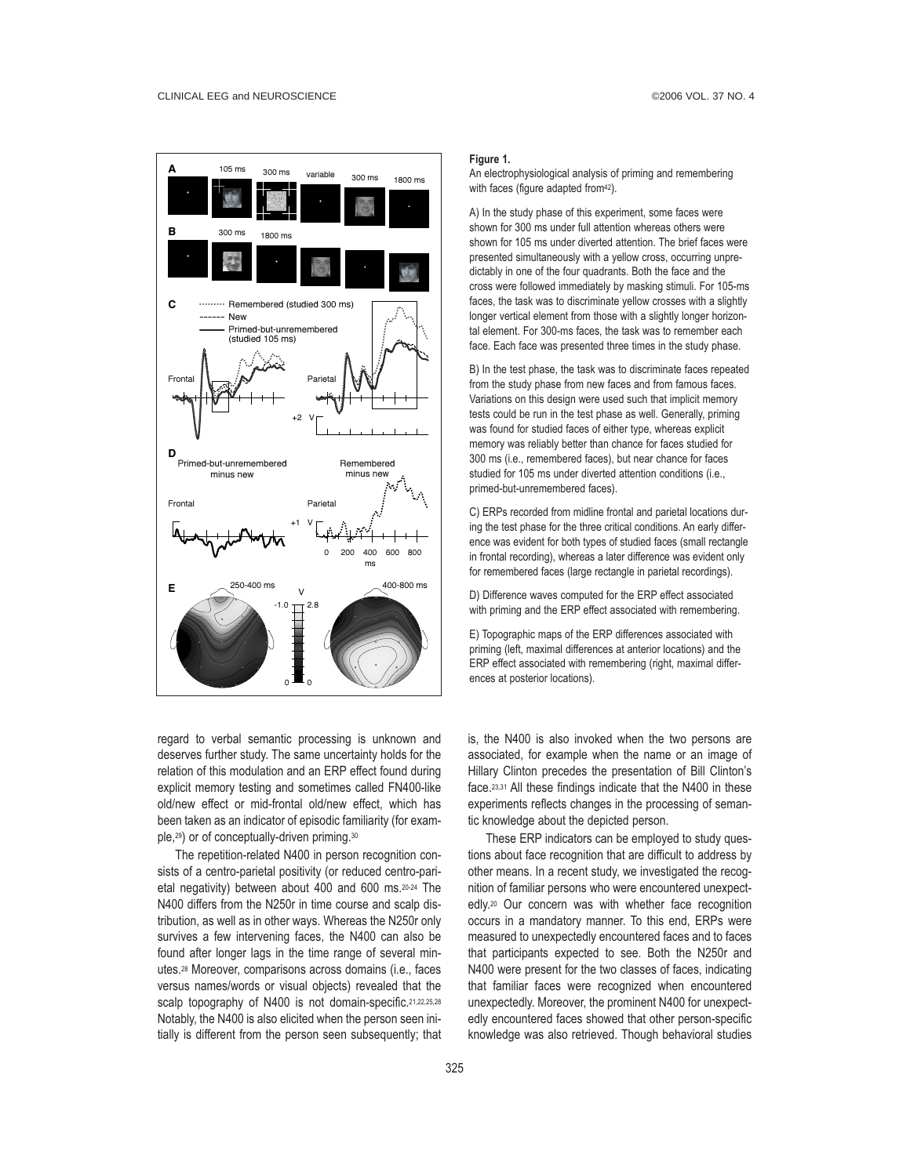

regard to verbal semantic processing is unknown and deserves further study. The same uncertainty holds for the relation of this modulation and an ERP effect found during explicit memory testing and sometimes called FN400-like old/new effect or mid-frontal old/new effect, which has been taken as an indicator of episodic familiarity (for example,29) or of conceptually-driven priming.30

The repetition-related N400 in person recognition consists of a centro-parietal positivity (or reduced centro-parietal negativity) between about 400 and 600 ms.20-24 The N400 differs from the N250r in time course and scalp distribution, as well as in other ways. Whereas the N250r only survives a few intervening faces, the N400 can also be found after longer lags in the time range of several minutes.28 Moreover, comparisons across domains (i.e., faces versus names/words or visual objects) revealed that the scalp topography of N400 is not domain-specific.<sup>21,22,25,28</sup> Notably, the N400 is also elicited when the person seen initially is different from the person seen subsequently; that

#### **Figure 1.**

An electrophysiological analysis of priming and remembering with faces (figure adapted from<sup>42</sup>).

A) In the study phase of this experiment, some faces were shown for 300 ms under full attention whereas others were shown for 105 ms under diverted attention. The brief faces were presented simultaneously with a yellow cross, occurring unpredictably in one of the four quadrants. Both the face and the cross were followed immediately by masking stimuli. For 105-ms faces, the task was to discriminate yellow crosses with a slightly longer vertical element from those with a slightly longer horizontal element. For 300-ms faces, the task was to remember each face. Each face was presented three times in the study phase.

B) In the test phase, the task was to discriminate faces repeated from the study phase from new faces and from famous faces. Variations on this design were used such that implicit memory tests could be run in the test phase as well. Generally, priming was found for studied faces of either type, whereas explicit memory was reliably better than chance for faces studied for 300 ms (i.e., remembered faces), but near chance for faces studied for 105 ms under diverted attention conditions (i.e., primed-but-unremembered faces).

C) ERPs recorded from midline frontal and parietal locations during the test phase for the three critical conditions. An early difference was evident for both types of studied faces (small rectangle in frontal recording), whereas a later difference was evident only for remembered faces (large rectangle in parietal recordings).

D) Difference waves computed for the ERP effect associated with priming and the ERP effect associated with remembering.

E) Topographic maps of the ERP differences associated with priming (left, maximal differences at anterior locations) and the ERP effect associated with remembering (right, maximal differences at posterior locations).

is, the N400 is also invoked when the two persons are associated, for example when the name or an image of Hillary Clinton precedes the presentation of Bill Clinton's face.23,31 All these findings indicate that the N400 in these experiments reflects changes in the processing of semantic knowledge about the depicted person.

These ERP indicators can be employed to study questions about face recognition that are difficult to address by other means. In a recent study, we investigated the recognition of familiar persons who were encountered unexpectedly.20 Our concern was with whether face recognition occurs in a mandatory manner. To this end, ERPs were measured to unexpectedly encountered faces and to faces that participants expected to see. Both the N250r and N400 were present for the two classes of faces, indicating that familiar faces were recognized when encountered unexpectedly. Moreover, the prominent N400 for unexpectedly encountered faces showed that other person-specific knowledge was also retrieved. Though behavioral studies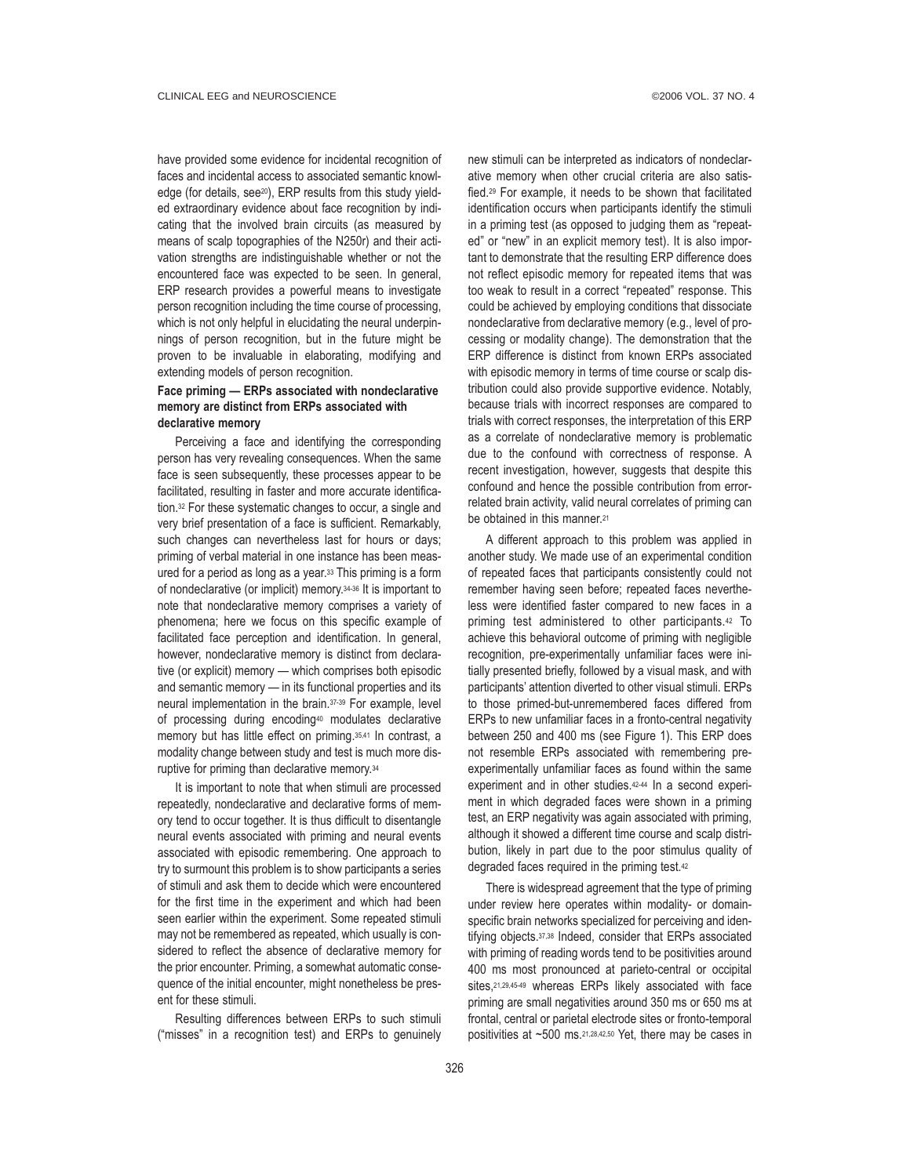have provided some evidence for incidental recognition of faces and incidental access to associated semantic knowledge (for details, see<sup>20</sup>), ERP results from this study yielded extraordinary evidence about face recognition by indicating that the involved brain circuits (as measured by means of scalp topographies of the N250r) and their activation strengths are indistinguishable whether or not the encountered face was expected to be seen. In general, ERP research provides a powerful means to investigate person recognition including the time course of processing, which is not only helpful in elucidating the neural underpinnings of person recognition, but in the future might be proven to be invaluable in elaborating, modifying and extending models of person recognition.

# **Face priming — ERPs associated with nondeclarative memory are distinct from ERPs associated with declarative memory**

Perceiving a face and identifying the corresponding person has very revealing consequences. When the same face is seen subsequently, these processes appear to be facilitated, resulting in faster and more accurate identification.32 For these systematic changes to occur, a single and very brief presentation of a face is sufficient. Remarkably, such changes can nevertheless last for hours or days; priming of verbal material in one instance has been measured for a period as long as a year.33 This priming is a form of nondeclarative (or implicit) memory.34-36 It is important to note that nondeclarative memory comprises a variety of phenomena; here we focus on this specific example of facilitated face perception and identification. In general, however, nondeclarative memory is distinct from declarative (or explicit) memory — which comprises both episodic and semantic memory — in its functional properties and its neural implementation in the brain.37-39 For example, level of processing during encoding<sup>40</sup> modulates declarative memory but has little effect on priming.35,41 In contrast, a modality change between study and test is much more disruptive for priming than declarative memory.34

It is important to note that when stimuli are processed repeatedly, nondeclarative and declarative forms of memory tend to occur together. It is thus difficult to disentangle neural events associated with priming and neural events associated with episodic remembering. One approach to try to surmount this problem is to show participants a series of stimuli and ask them to decide which were encountered for the first time in the experiment and which had been seen earlier within the experiment. Some repeated stimuli may not be remembered as repeated, which usually is considered to reflect the absence of declarative memory for the prior encounter. Priming, a somewhat automatic consequence of the initial encounter, might nonetheless be present for these stimuli.

Resulting differences between ERPs to such stimuli ("misses" in a recognition test) and ERPs to genuinely new stimuli can be interpreted as indicators of nondeclarative memory when other crucial criteria are also satisfied.29 For example, it needs to be shown that facilitated identification occurs when participants identify the stimuli in a priming test (as opposed to judging them as "repeated" or "new" in an explicit memory test). It is also important to demonstrate that the resulting ERP difference does not reflect episodic memory for repeated items that was too weak to result in a correct "repeated" response. This could be achieved by employing conditions that dissociate nondeclarative from declarative memory (e.g., level of processing or modality change). The demonstration that the ERP difference is distinct from known ERPs associated with episodic memory in terms of time course or scalp distribution could also provide supportive evidence. Notably, because trials with incorrect responses are compared to trials with correct responses, the interpretation of this ERP as a correlate of nondeclarative memory is problematic due to the confound with correctness of response. A recent investigation, however, suggests that despite this confound and hence the possible contribution from errorrelated brain activity, valid neural correlates of priming can be obtained in this manner.21

A different approach to this problem was applied in another study. We made use of an experimental condition of repeated faces that participants consistently could not remember having seen before; repeated faces nevertheless were identified faster compared to new faces in a priming test administered to other participants.42 To achieve this behavioral outcome of priming with negligible recognition, pre-experimentally unfamiliar faces were initially presented briefly, followed by a visual mask, and with participants' attention diverted to other visual stimuli. ERPs to those primed-but-unremembered faces differed from ERPs to new unfamiliar faces in a fronto-central negativity between 250 and 400 ms (see Figure 1). This ERP does not resemble ERPs associated with remembering preexperimentally unfamiliar faces as found within the same experiment and in other studies.42-44 In a second experiment in which degraded faces were shown in a priming test, an ERP negativity was again associated with priming, although it showed a different time course and scalp distribution, likely in part due to the poor stimulus quality of degraded faces required in the priming test.42

There is widespread agreement that the type of priming under review here operates within modality- or domainspecific brain networks specialized for perceiving and identifying objects.37,38 Indeed, consider that ERPs associated with priming of reading words tend to be positivities around 400 ms most pronounced at parieto-central or occipital sites,21,29,45-49 whereas ERPs likely associated with face priming are small negativities around 350 ms or 650 ms at frontal, central or parietal electrode sites or fronto-temporal positivities at ~500 ms.21,28,42,50 Yet, there may be cases in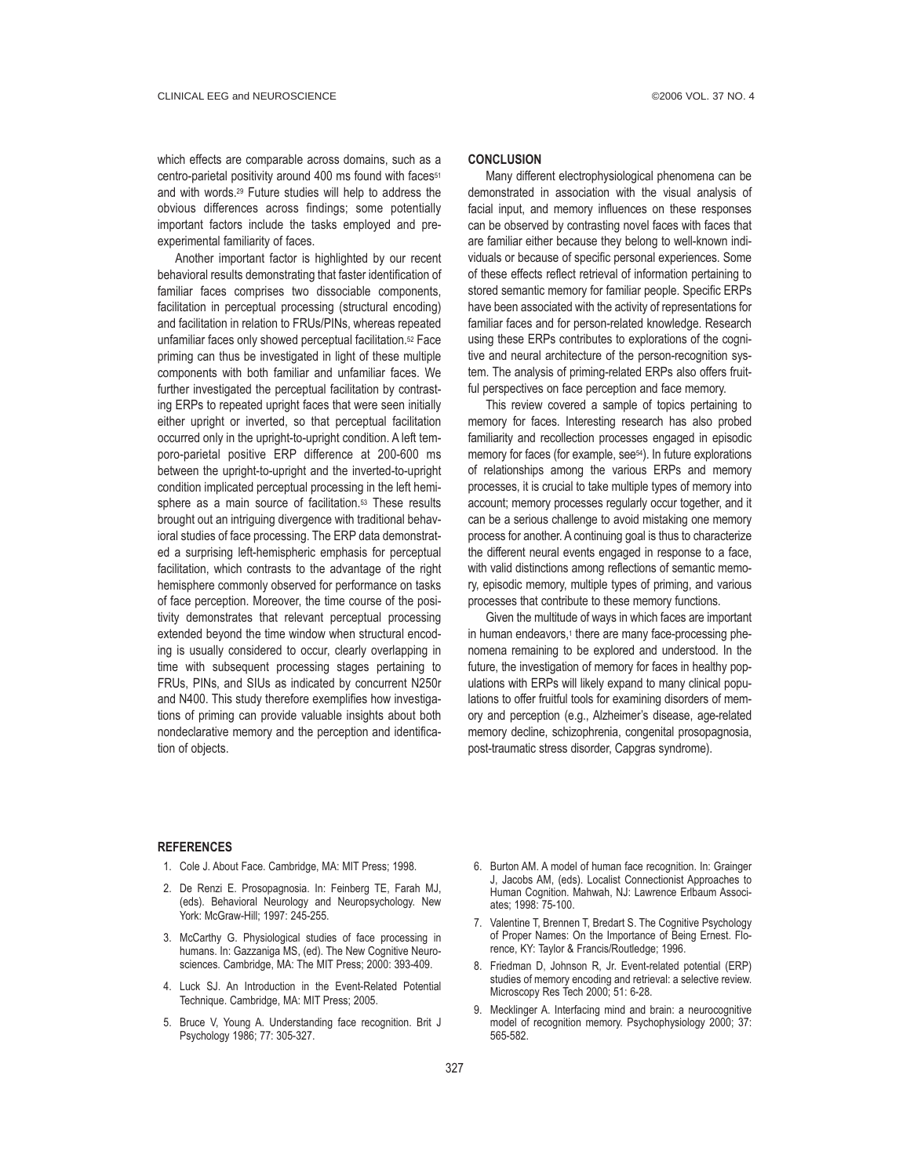which effects are comparable across domains, such as a centro-parietal positivity around 400 ms found with faces51 and with words.29 Future studies will help to address the obvious differences across findings; some potentially important factors include the tasks employed and preexperimental familiarity of faces.

Another important factor is highlighted by our recent behavioral results demonstrating that faster identification of familiar faces comprises two dissociable components, facilitation in perceptual processing (structural encoding) and facilitation in relation to FRUs/PINs, whereas repeated unfamiliar faces only showed perceptual facilitation.<sup>52</sup> Face priming can thus be investigated in light of these multiple components with both familiar and unfamiliar faces. We further investigated the perceptual facilitation by contrasting ERPs to repeated upright faces that were seen initially either upright or inverted, so that perceptual facilitation occurred only in the upright-to-upright condition. A left temporo-parietal positive ERP difference at 200-600 ms between the upright-to-upright and the inverted-to-upright condition implicated perceptual processing in the left hemisphere as a main source of facilitation.<sup>53</sup> These results brought out an intriguing divergence with traditional behavioral studies of face processing. The ERP data demonstrated a surprising left-hemispheric emphasis for perceptual facilitation, which contrasts to the advantage of the right hemisphere commonly observed for performance on tasks of face perception. Moreover, the time course of the positivity demonstrates that relevant perceptual processing extended beyond the time window when structural encoding is usually considered to occur, clearly overlapping in time with subsequent processing stages pertaining to FRUs, PINs, and SIUs as indicated by concurrent N250r and N400. This study therefore exemplifies how investigations of priming can provide valuable insights about both nondeclarative memory and the perception and identification of objects.

#### **CONCLUSION**

Many different electrophysiological phenomena can be demonstrated in association with the visual analysis of facial input, and memory influences on these responses can be observed by contrasting novel faces with faces that are familiar either because they belong to well-known individuals or because of specific personal experiences. Some of these effects reflect retrieval of information pertaining to stored semantic memory for familiar people. Specific ERPs have been associated with the activity of representations for familiar faces and for person-related knowledge. Research using these ERPs contributes to explorations of the cognitive and neural architecture of the person-recognition system. The analysis of priming-related ERPs also offers fruitful perspectives on face perception and face memory.

This review covered a sample of topics pertaining to memory for faces. Interesting research has also probed familiarity and recollection processes engaged in episodic memory for faces (for example, see<sup>54</sup>). In future explorations of relationships among the various ERPs and memory processes, it is crucial to take multiple types of memory into account; memory processes regularly occur together, and it can be a serious challenge to avoid mistaking one memory process for another. A continuing goal is thus to characterize the different neural events engaged in response to a face, with valid distinctions among reflections of semantic memory, episodic memory, multiple types of priming, and various processes that contribute to these memory functions.

Given the multitude of ways in which faces are important in human endeavors,<sup>1</sup> there are many face-processing phenomena remaining to be explored and understood. In the future, the investigation of memory for faces in healthy populations with ERPs will likely expand to many clinical populations to offer fruitful tools for examining disorders of memory and perception (e.g., Alzheimer's disease, age-related memory decline, schizophrenia, congenital prosopagnosia, post-traumatic stress disorder, Capgras syndrome).

#### **REFERENCES**

- 1. Cole J. About Face. Cambridge, MA: MIT Press; 1998.
- 2. De Renzi E. Prosopagnosia. In: Feinberg TE, Farah MJ, (eds). Behavioral Neurology and Neuropsychology. New York: McGraw-Hill; 1997: 245-255.
- 3. McCarthy G. Physiological studies of face processing in humans. In: Gazzaniga MS, (ed). The New Cognitive Neurosciences. Cambridge, MA: The MIT Press; 2000: 393-409.
- 4. Luck SJ. An Introduction in the Event-Related Potential Technique. Cambridge, MA: MIT Press; 2005.
- 5. Bruce V, Young A. Understanding face recognition. Brit J Psychology 1986; 77: 305-327.
- 6. Burton AM. A model of human face recognition. In: Grainger J, Jacobs AM, (eds). Localist Connectionist Approaches to Human Cognition. Mahwah, NJ: Lawrence Erlbaum Associates; 1998: 75-100.
- 7. Valentine T, Brennen T, Bredart S. The Cognitive Psychology of Proper Names: On the Importance of Being Ernest. Florence, KY: Taylor & Francis/Routledge; 1996.
- 8. Friedman D, Johnson R, Jr. Event-related potential (ERP) studies of memory encoding and retrieval: a selective review. Microscopy Res Tech 2000; 51: 6-28.
- 9. Mecklinger A. Interfacing mind and brain: a neurocognitive model of recognition memory. Psychophysiology 2000; 37: 565-582.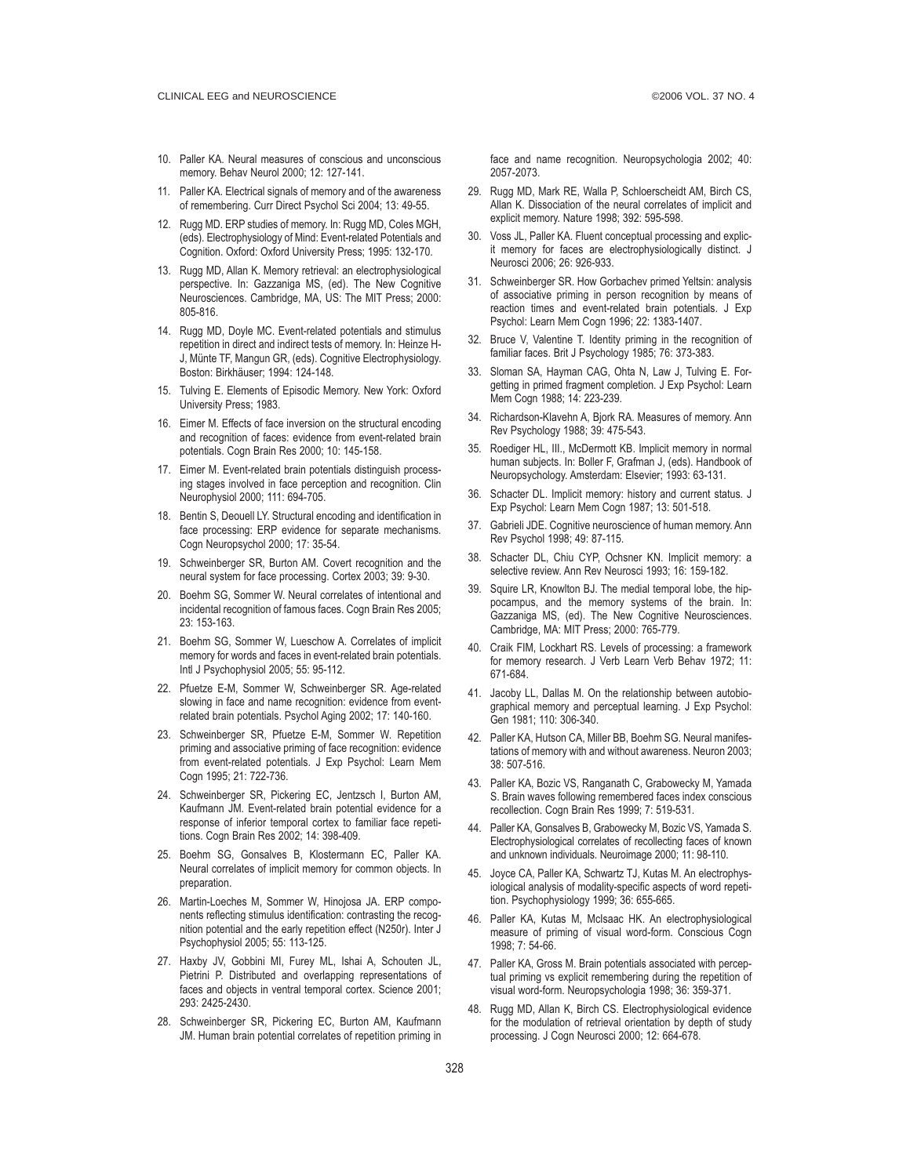- 10. Paller KA. Neural measures of conscious and unconscious memory. Behav Neurol 2000; 12: 127-141.
- 11. Paller KA. Electrical signals of memory and of the awareness of remembering. Curr Direct Psychol Sci 2004; 13: 49-55.
- 12. Rugg MD. ERP studies of memory. In: Rugg MD, Coles MGH, (eds). Electrophysiology of Mind: Event-related Potentials and Cognition. Oxford: Oxford University Press; 1995: 132-170.
- 13. Rugg MD, Allan K. Memory retrieval: an electrophysiological perspective. In: Gazzaniga MS, (ed). The New Cognitive Neurosciences. Cambridge, MA, US: The MIT Press; 2000: 805-816.
- 14. Rugg MD, Doyle MC. Event-related potentials and stimulus repetition in direct and indirect tests of memory. In: Heinze H-J, Münte TF, Mangun GR, (eds). Cognitive Electrophysiology. Boston: Birkhäuser; 1994: 124-148.
- 15. Tulving E. Elements of Episodic Memory. New York: Oxford University Press; 1983.
- 16. Eimer M. Effects of face inversion on the structural encoding and recognition of faces: evidence from event-related brain potentials. Cogn Brain Res 2000; 10: 145-158.
- 17. Eimer M. Event-related brain potentials distinguish processing stages involved in face perception and recognition. Clin Neurophysiol 2000; 111: 694-705.
- 18. Bentin S, Deouell LY. Structural encoding and identification in face processing: ERP evidence for separate mechanisms. Cogn Neuropsychol 2000; 17: 35-54.
- 19. Schweinberger SR, Burton AM. Covert recognition and the neural system for face processing. Cortex 2003; 39: 9-30.
- 20. Boehm SG, Sommer W. Neural correlates of intentional and incidental recognition of famous faces. Cogn Brain Res 2005; 23: 153-163.
- 21. Boehm SG, Sommer W, Lueschow A. Correlates of implicit memory for words and faces in event-related brain potentials. Intl J Psychophysiol 2005; 55: 95-112.
- 22. Pfuetze E-M, Sommer W, Schweinberger SR. Age-related slowing in face and name recognition: evidence from eventrelated brain potentials. Psychol Aging 2002; 17: 140-160.
- 23. Schweinberger SR, Pfuetze E-M, Sommer W. Repetition priming and associative priming of face recognition: evidence from event-related potentials. J Exp Psychol: Learn Mem Cogn 1995; 21: 722-736.
- 24. Schweinberger SR, Pickering EC, Jentzsch I, Burton AM, Kaufmann JM. Event-related brain potential evidence for a response of inferior temporal cortex to familiar face repetitions. Cogn Brain Res 2002; 14: 398-409.
- 25. Boehm SG, Gonsalves B, Klostermann EC, Paller KA. Neural correlates of implicit memory for common objects. In preparation.
- 26. Martin-Loeches M, Sommer W, Hinojosa JA. ERP components reflecting stimulus identification: contrasting the recognition potential and the early repetition effect (N250r). Inter J Psychophysiol 2005; 55: 113-125.
- 27. Haxby JV, Gobbini MI, Furey ML, Ishai A, Schouten JL, Pietrini P. Distributed and overlapping representations of faces and objects in ventral temporal cortex. Science 2001; 293: 2425-2430.
- 28. Schweinberger SR, Pickering EC, Burton AM, Kaufmann JM. Human brain potential correlates of repetition priming in

face and name recognition. Neuropsychologia 2002; 40: 2057-2073.

- 29. Rugg MD, Mark RE, Walla P, Schloerscheidt AM, Birch CS, Allan K. Dissociation of the neural correlates of implicit and explicit memory. Nature 1998; 392: 595-598.
- 30. Voss JL, Paller KA. Fluent conceptual processing and explicit memory for faces are electrophysiologically distinct. J Neurosci 2006; 26: 926-933.
- 31. Schweinberger SR. How Gorbachev primed Yeltsin: analysis of associative priming in person recognition by means of reaction times and event-related brain potentials. J Exp Psychol: Learn Mem Cogn 1996; 22: 1383-1407.
- 32. Bruce V, Valentine T. Identity priming in the recognition of familiar faces. Brit J Psychology 1985; 76: 373-383.
- 33. Sloman SA, Hayman CAG, Ohta N, Law J, Tulving E. Forgetting in primed fragment completion. J Exp Psychol: Learn Mem Cogn 1988; 14: 223-239.
- 34. Richardson-Klavehn A, Bjork RA. Measures of memory. Ann Rev Psychology 1988; 39: 475-543.
- 35. Roediger HL, III., McDermott KB. Implicit memory in normal human subjects. In: Boller F, Grafman J, (eds). Handbook of Neuropsychology. Amsterdam: Elsevier; 1993: 63-131.
- 36. Schacter DL. Implicit memory: history and current status. J Exp Psychol: Learn Mem Cogn 1987; 13: 501-518.
- 37. Gabrieli JDE. Cognitive neuroscience of human memory. Ann Rev Psychol 1998; 49: 87-115.
- 38. Schacter DL, Chiu CYP, Ochsner KN. Implicit memory: a selective review. Ann Rev Neurosci 1993; 16: 159-182.
- 39. Squire LR, Knowlton BJ. The medial temporal lobe, the hippocampus, and the memory systems of the brain. In: Gazzaniga MS, (ed). The New Cognitive Neurosciences. Cambridge, MA: MIT Press; 2000: 765-779.
- 40. Craik FIM, Lockhart RS. Levels of processing: a framework for memory research. J Verb Learn Verb Behav 1972; 11: 671-684.
- 41. Jacoby LL, Dallas M. On the relationship between autobiographical memory and perceptual learning. J Exp Psychol: Gen 1981; 110: 306-340.
- 42. Paller KA, Hutson CA, Miller BB, Boehm SG. Neural manifestations of memory with and without awareness. Neuron 2003; 38: 507-516.
- 43. Paller KA, Bozic VS, Ranganath C, Grabowecky M, Yamada S. Brain waves following remembered faces index conscious recollection. Cogn Brain Res 1999; 7: 519-531.
- 44. Paller KA, Gonsalves B, Grabowecky M, Bozic VS, Yamada S. Electrophysiological correlates of recollecting faces of known and unknown individuals. Neuroimage 2000; 11: 98-110.
- 45. Joyce CA, Paller KA, Schwartz TJ, Kutas M. An electrophysiological analysis of modality-specific aspects of word repetition. Psychophysiology 1999; 36: 655-665.
- 46. Paller KA, Kutas M, McIsaac HK. An electrophysiological measure of priming of visual word-form. Conscious Cogn 1998; 7: 54-66.
- 47. Paller KA, Gross M. Brain potentials associated with perceptual priming vs explicit remembering during the repetition of visual word-form. Neuropsychologia 1998; 36: 359-371.
- 48. Rugg MD, Allan K, Birch CS. Electrophysiological evidence for the modulation of retrieval orientation by depth of study processing. J Cogn Neurosci 2000; 12: 664-678.